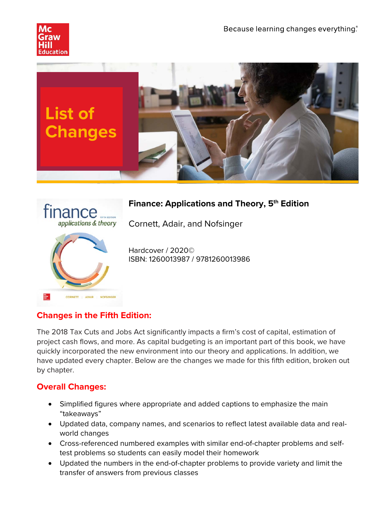





# **Finance: Applications and Theory, 5<sup>th</sup> Edition**

Cornett, Adair, and Nofsinger

Hardcover / 2020© ISBN: 1260013987 / 9781260013986

# **Changes in the Fifth Edition:**

The 2018 Tax Cuts and Jobs Act significantly impacts a firm's cost of capital, estimation of project cash flows, and more. As capital budgeting is an important part of this book, we have quickly incorporated the new environment into our theory and applications. In addition, we have updated every chapter. Below are the changes we made for this fifth edition, broken out by chapter.

# **Overall Changes:**

- Simplified figures where appropriate and added captions to emphasize the main "takeaways"
- Updated data, company names, and scenarios to reflect latest available data and realworld changes
- Cross-referenced numbered examples with similar end-of-chapter problems and selftest problems so students can easily model their homework
- Updated the numbers in the end-of-chapter problems to provide variety and limit the transfer of answers from previous classes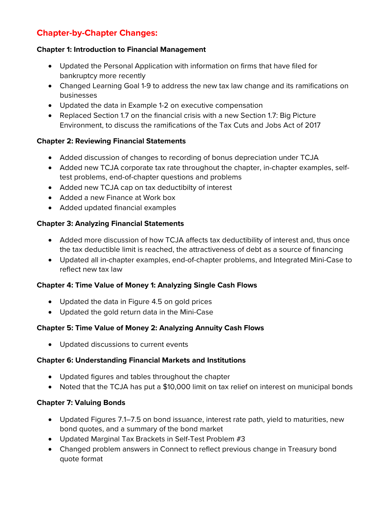# **Chapter-by-Chapter Changes:**

#### **Chapter 1: Introduction to Financial Management**

- Updated the Personal Application with information on firms that have filed for bankruptcy more recently
- Changed Learning Goal 1-9 to address the new tax law change and its ramifications on businesses
- Updated the data in Example 1-2 on executive compensation
- Replaced Section 1.7 on the financial crisis with a new Section 1.7: Big Picture Environment, to discuss the ramifications of the Tax Cuts and Jobs Act of 2017

## **Chapter 2: Reviewing Financial Statements**

- Added discussion of changes to recording of bonus depreciation under TCJA
- Added new TCJA corporate tax rate throughout the chapter, in-chapter examples, selftest problems, end-of-chapter questions and problems
- Added new TCJA cap on tax deductibilty of interest
- Added a new Finance at Work box
- Added updated financial examples

## **Chapter 3: Analyzing Financial Statements**

- Added more discussion of how TCJA affects tax deductibility of interest and, thus once the tax deductible limit is reached, the attractiveness of debt as a source of financing
- Updated all in-chapter examples, end-of-chapter problems, and Integrated Mini-Case to reflect new tax law

#### **Chapter 4: Time Value of Money 1: Analyzing Single Cash Flows**

- Updated the data in Figure 4.5 on gold prices
- Updated the gold return data in the Mini-Case

# **Chapter 5: Time Value of Money 2: Analyzing Annuity Cash Flows**

• Updated discussions to current events

#### **Chapter 6: Understanding Financial Markets and Institutions**

- Updated figures and tables throughout the chapter
- Noted that the TCJA has put a \$10,000 limit on tax relief on interest on municipal bonds

# **Chapter 7: Valuing Bonds**

- Updated Figures 7.1–7.5 on bond issuance, interest rate path, yield to maturities, new bond quotes, and a summary of the bond market
- Updated Marginal Tax Brackets in Self-Test Problem #3
- Changed problem answers in Connect to reflect previous change in Treasury bond quote format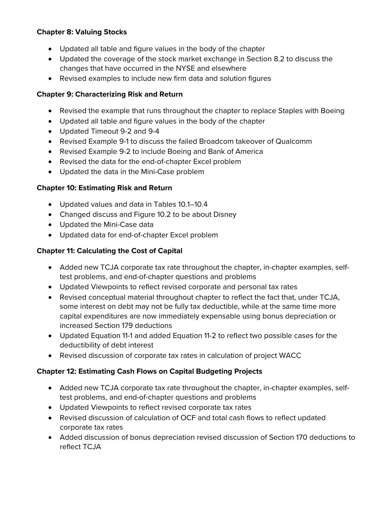## **Chapter 8: Valuing Stocks**

- Updated all table and figure values in the body of the chapter
- Updated the coverage of the stock market exchange in Section 8.2 to discuss the changes that have occurred in the NYSE and elsewhere
- Revised examples to include new firm data and solution figures

## **Chapter 9: Characterizing Risk and Return**

- Revised the example that runs throughout the chapter to replace Staples with Boeing
- Updated all table and figure values in the body of the chapter
- Updated Timeout 9-2 and 9-4
- Revised Example 9-1 to discuss the failed Broadcom takeover of Qualcomm
- Revised Example 9-2 to include Boeing and Bank of America
- Revised the data for the end-of-chapter Excel problem
- Updated the data in the Mini-Case problem

## **Chapter 10: Estimating Risk and Return**

- Updated values and data in Tables 10.1–10.4
- Changed discuss and Figure 10.2 to be about Disney
- Updated the Mini-Case data
- Updated data for end-of-chapter Excel problem

## **Chapter 11: Calculating the Cost of Capital**

- Added new TCJA corporate tax rate throughout the chapter, in-chapter examples, selftest problems, and end-of-chapter questions and problems
- Updated Viewpoints to reflect revised corporate and personal tax rates
- Revised conceptual material throughout chapter to reflect the fact that, under TCJA, some interest on debt may not be fully tax deductible, while at the same time more capital expenditures are now immediately expensable using bonus depreciation or increased Section 179 deductions
- Updated Equation 11-1 and added Equation 11-2 to reflect two possible cases for the deductibility of debt interest
- Revised discussion of corporate tax rates in calculation of project WACC

#### **Chapter 12: Estimating Cash Flows on Capital Budgeting Projects**

- Added new TCJA corporate tax rate throughout the chapter, in-chapter examples, selftest problems, and end-of-chapter questions and problems
- Updated Viewpoints to reflect revised corporate tax rates
- Revised discussion of calculation of OCF and total cash flows to reflect updated corporate tax rates
- Added discussion of bonus depreciation revised discussion of Section 170 deductions to reflect TCJA